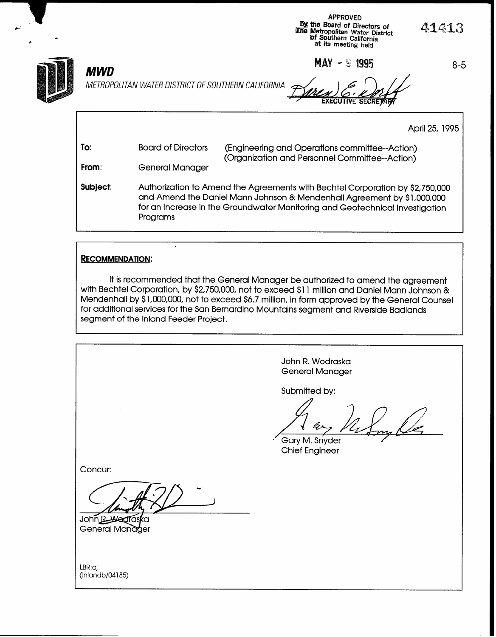APPROVED By the Board of Directors of Dy the Board of Directors of  $41413$ <br>Whe Metropolitan Water District  $4143$ of Southern California at its meeting held

April 25, 1995

**MAY**  $-$  5 **1995** 8-5



C.-

# MWD

METROPOLITAN WATER DISTRICT OF SOUTHERN CALIFORNIA

.

To: From: Subject: Board of Directors (Engineering and Operations committee--Action) (Organization and Personnel Committee-Action) General Manager Authorization to Amend the Agreements with Bechtel Corporation by \$2,750,000 and Amend the Daniel Mann Johnson & Mendenhall Agreement by \$l,OOO,OOO for an Increase in the Groundwater Monitoring and Geotechnical Investigation Programs

### RECOMMENDATION:

It is recommended that the General Manager be authorized to amend the agreement with Bechtel Corporation, by \$2,750,000, not to exceed \$11 million and Daniel Mann Johnson & Mendenhall by \$1,000,000, not to exceed \$6.7 million, in form approved by the General Counsel for additional services for the San Bernardino Mountains segment and Riverside Badlands segment of the Inland Feeder Project.

> John R. Wodraska General Manager

Submitted by:

Gary M. Snyder Chief Engineer

Concur:

John R. Wedra General Manager

LBR:aj (Inlandb/04185)